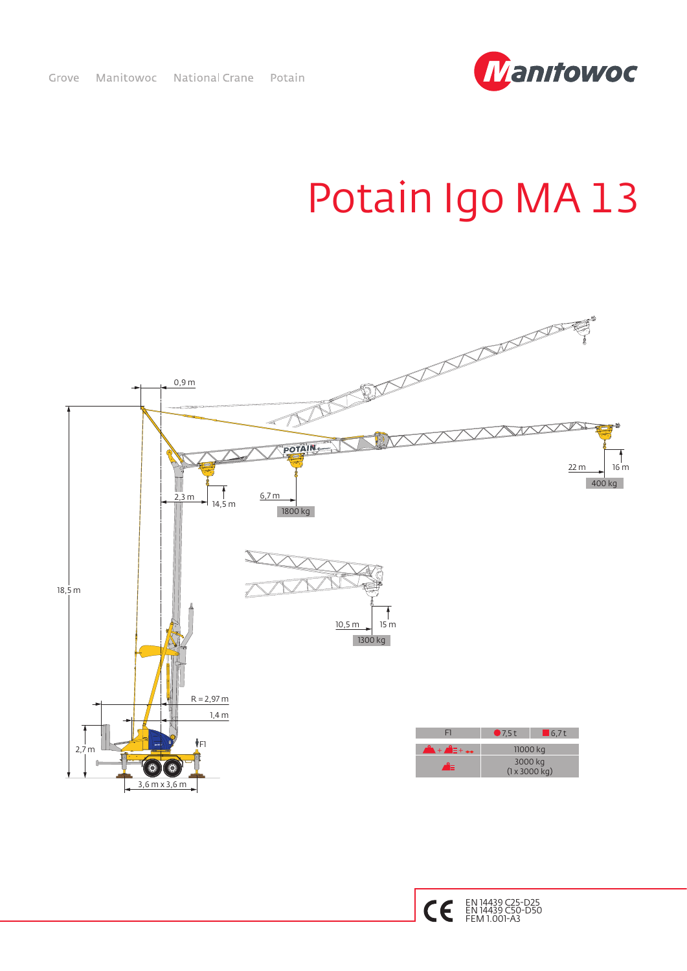

## Potain Igo MA 13



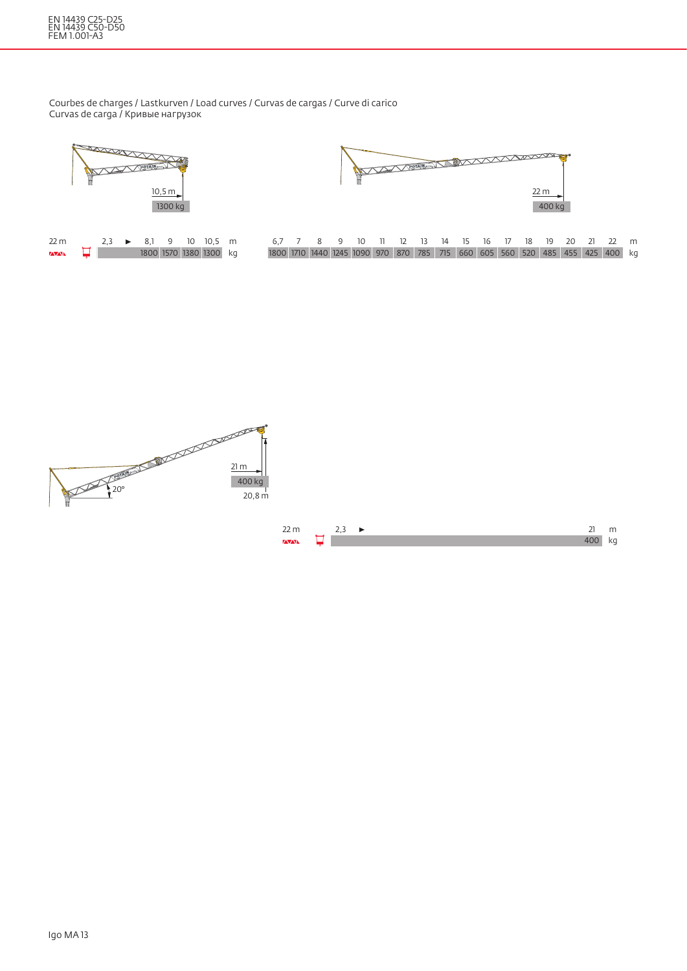## EN 14439 C25-D25 EN 14439 C50-D50 FEM 1.001-A3

 $\overline{\text{VAVAN}}$ 

Courbes de charges / Lastkurven / Load curves / Curvas de cargas / Curve di carico Curvas de carga / Кривые нагрузок





|  |  |  |  |  |  |  |  | 6.7 7 8 9 10 11 12 13 14 15 16 17 18 19 20 21 22 m                          |  |
|--|--|--|--|--|--|--|--|-----------------------------------------------------------------------------|--|
|  |  |  |  |  |  |  |  | 1800 1710 1440 1245 1090 970 870 785 715 660 605 560 520 485 455 425 400 kg |  |



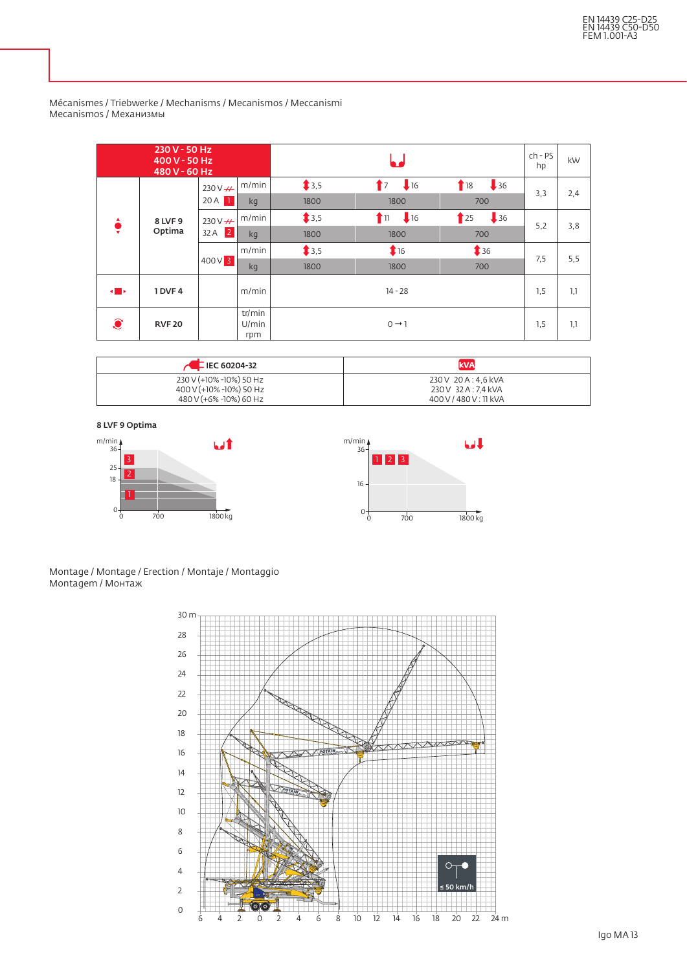|                | 230 V - 50 Hz<br>400 V - 50 Hz<br>480 V - 60 Hz |                                  |                        |       | $ch$ - $PS$<br>hp  | kW                                 |     |     |
|----------------|-------------------------------------------------|----------------------------------|------------------------|-------|--------------------|------------------------------------|-----|-----|
|                |                                                 | 230 V - H<br>20A<br>$\mathbf{1}$ | m/min                  | \$3,5 | 16<br>$\mathbf{r}$ | $\frac{1}{2}$ 36<br>$\blacksquare$ | 3,3 | 2,4 |
|                | 8 LVF 9<br>Optima                               |                                  | kg                     | 1800  | 1800               | 700                                |     |     |
|                |                                                 | $230V +$                         | m/min                  | \$3,5 | 16<br>T 11         | $\frac{1}{2}$ 36<br>25             |     |     |
| ₹              |                                                 | $32A$ 2                          | kg                     | 1800  | 1800               | 700                                | 5,2 | 3,8 |
|                |                                                 | $400V$ 3                         | m/min                  | \$3,5 | 16                 | \$36                               | 7,5 | 5,5 |
|                |                                                 |                                  | kg                     | 1800  | 1800               | 700                                |     |     |
| $\blacksquare$ | 1 DVF4                                          |                                  | m/min                  |       | $14 - 28$          |                                    | 1,5 | 1,1 |
| $\mathbf{C}$   | <b>RVF 20</b>                                   |                                  | tr/min<br>U/min<br>rpm |       | $0 \rightarrow 1$  |                                    | 1,5 | 1,1 |

Mécanismes / Triebwerke / Mechanisms / Mecanismos / Meccanismi Mecanismos / Механизмы

| $\sim$ E IEC 60204-32   | <b>kVA</b>             |
|-------------------------|------------------------|
| 230 V (+10% -10%) 50 Hz | 230 V 20 A : 4.6 kVA   |
| 400 V (+10% -10%) 50 Hz | 230 V 32 A : 7.4 kVA   |
| 480 V (+6% -10%) 60 Hz  | 400 V / 480 V : 11 kVA |

8 LVF 9 Optima



Montage / Montage / Erection / Montaje / Montaggio Montagem / Монтаж